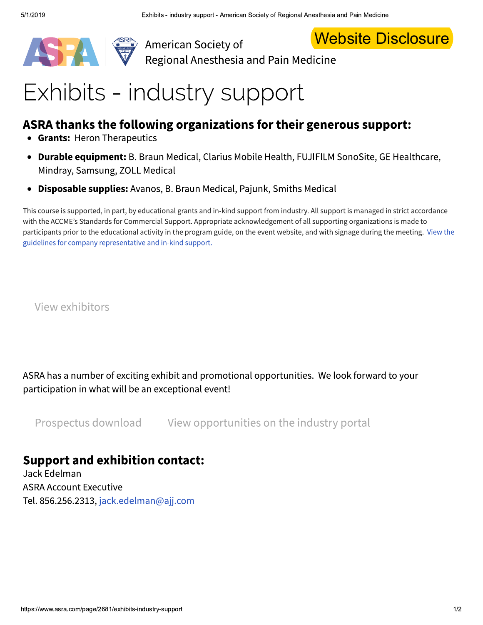



**Website Disclosure** 

### Exhibits - industry support

### ASRA thanks the following organizations for their generous support:

- Grants: Heron Therapeutics
- Durable equipment: B. Braun Medical, Clarius Mobile Health, FUJIFILM SonoSite, GE Healthcare, Mindray, Samsung, ZOLL Medical
- Disposable supplies: Avanos, B. Braun Medical, Pajunk, Smiths Medical

This course is supported, in part, by educational grants and in-kind support from industry. All support is managed in strict accordance with the ACCME's Standards for Commercial Support. Appropriate acknowledgement of all supporting organizations is made to participants prior to the educational activity in the program guide, on the event website, and with signage during the meeting. View the guidelines for company representative and in-kind support.

View exhibitors

ASRA has a number of exciting exhibit and promotional opportunities. We look forward to your participation in what will be an exceptional event!

Prospectus download View opportunities on the industry portal

#### **Support and exhibition contact:**

Jack Edelman **ASRA Account Executive** Tel. 856.256.2313, jack.edelman@ajj.com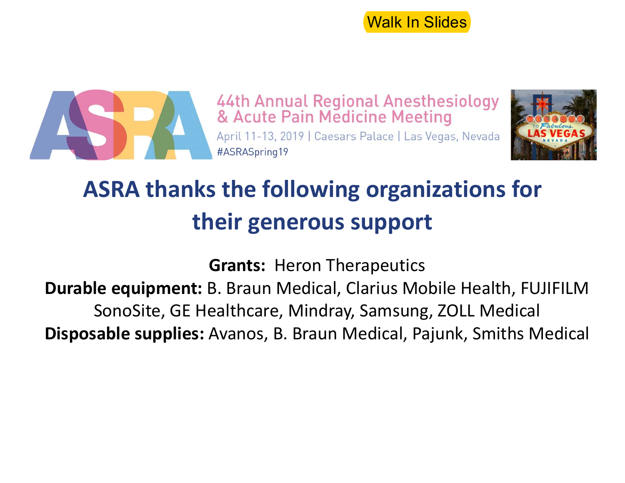Walk In Slides



44th Annual Regional Anesthesiology & Acute Pain Medicine Meeting April 11-13, 2019 | Caesars Palace | Las Vegas, Nevada #ASRASpring19



## **ASRA thanks the following organizations for their generous support**

**Grants: Heron Therapeutics Durable equipment:** B. Braun Medical, Clarius Mobile Health, FUJIFILM SonoSite, GE Healthcare, Mindray, Samsung, ZOLL Medical **Disposable supplies:** Avanos, B. Braun Medical, Pajunk, Smiths Medical